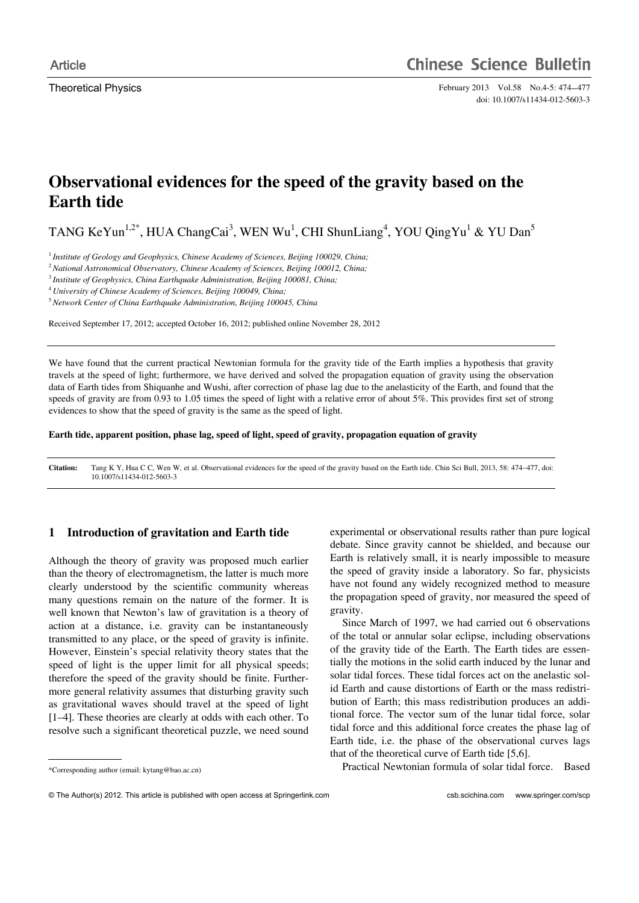Theoretical Physics February 2013 Vol.58 No.4-5: 474-477 doi: 10.1007/s11434-012-5603-3

# **Observational evidences for the speed of the gravity based on the Earth tide**

TANG KeYun<sup>1,2\*</sup>, HUA ChangCai<sup>3</sup>, WEN Wu<sup>1</sup>, CHI ShunLiang<sup>4</sup>, YOU QingYu<sup>1</sup> & YU Dan<sup>5</sup>

<sup>1</sup> Institute of Geology and Geophysics, Chinese Academy of Sciences, Beijing 100029, China;

<sup>2</sup>*National Astronomical Observatory, Chinese Academy of Sciences, Beijing 100012, China;* 

<sup>3</sup> *Institute of Geophysics, China Earthquake Administration, Beijing 100081, China;* 

<sup>4</sup> *University of Chinese Academy of Sciences, Beijing 100049, China;* 

<sup>5</sup>*Network Center of China Earthquake Administration, Beijing 100045, China* 

Received September 17, 2012; accepted October 16, 2012; published online November 28, 2012

We have found that the current practical Newtonian formula for the gravity tide of the Earth implies a hypothesis that gravity travels at the speed of light; furthermore, we have derived and solved the propagation equation of gravity using the observation data of Earth tides from Shiquanhe and Wushi, after correction of phase lag due to the anelasticity of the Earth, and found that the speeds of gravity are from 0.93 to 1.05 times the speed of light with a relative error of about 5%. This provides first set of strong evidences to show that the speed of gravity is the same as the speed of light.

#### **Earth tide, apparent position, phase lag, speed of light, speed of gravity, propagation equation of gravity**

**Citation:** Tang K Y, Hua C C, Wen W, et al. Observational evidences for the speed of the gravity based on the Earth tide. Chin Sci Bull, 2013, 58: 474477, doi: 10.1007/s11434-012-5603-3

# **1 Introduction of gravitation and Earth tide**

Although the theory of gravity was proposed much earlier than the theory of electromagnetism, the latter is much more clearly understood by the scientific community whereas many questions remain on the nature of the former. It is well known that Newton's law of gravitation is a theory of action at a distance, i.e. gravity can be instantaneously transmitted to any place, or the speed of gravity is infinite. However, Einstein's special relativity theory states that the speed of light is the upper limit for all physical speeds; therefore the speed of the gravity should be finite. Furthermore general relativity assumes that disturbing gravity such as gravitational waves should travel at the speed of light [1–4]. These theories are clearly at odds with each other. To resolve such a significant theoretical puzzle, we need sound

\*Corresponding author (email: kytang@bao.ac.cn)

 $\overline{a}$ 

experimental or observational results rather than pure logical debate. Since gravity cannot be shielded, and because our Earth is relatively small, it is nearly impossible to measure the speed of gravity inside a laboratory. So far, physicists have not found any widely recognized method to measure the propagation speed of gravity, nor measured the speed of gravity.

Since March of 1997, we had carried out 6 observations of the total or annular solar eclipse, including observations of the gravity tide of the Earth. The Earth tides are essentially the motions in the solid earth induced by the lunar and solar tidal forces. These tidal forces act on the anelastic solid Earth and cause distortions of Earth or the mass redistribution of Earth; this mass redistribution produces an additional force. The vector sum of the lunar tidal force, solar tidal force and this additional force creates the phase lag of Earth tide, i.e. the phase of the observational curves lags that of the theoretical curve of Earth tide [5,6].

Practical Newtonian formula of solar tidal force. Based

<sup>©</sup> The Author(s) 2012. This article is published with open access at Springerlink.com csb.scichina.com www.springer.com/scp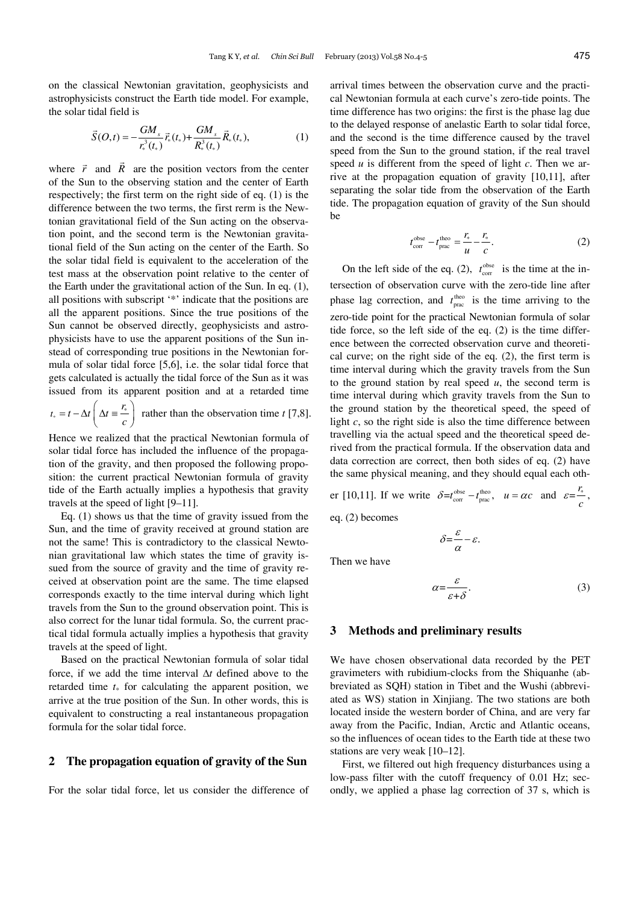on the classical Newtonian gravitation, geophysicists and astrophysicists construct the Earth tide model. For example, the solar tidal field is

$$
\vec{S}(O,t) = -\frac{GM_s}{r_*^3(t_*)}\vec{r}_*(t_*) + \frac{GM_s}{R_*^3(t_*)}\vec{R}_*(t_*),
$$
\n(1)

where  $\vec{r}$  and  $\vec{R}$  are the position vectors from the center of the Sun to the observing station and the center of Earth respectively; the first term on the right side of eq. (1) is the difference between the two terms, the first rerm is the Newtonian gravitational field of the Sun acting on the observation point, and the second term is the Newtonian gravitational field of the Sun acting on the center of the Earth. So the solar tidal field is equivalent to the acceleration of the test mass at the observation point relative to the center of the Earth under the gravitational action of the Sun. In eq. (1), all positions with subscript '\*' indicate that the positions are all the apparent positions. Since the true positions of the Sun cannot be observed directly, geophysicists and astrophysicists have to use the apparent positions of the Sun instead of corresponding true positions in the Newtonian formula of solar tidal force [5,6], i.e. the solar tidal force that gets calculated is actually the tidal force of the Sun as it was issued from its apparent position and at a retarded time

$$
t_* = t - \Delta t \left( \Delta t = \frac{r_*}{c} \right)
$$
 rather than the observation time t [7,8].

Hence we realized that the practical Newtonian formula of solar tidal force has included the influence of the propagation of the gravity, and then proposed the following proposition: the current practical Newtonian formula of gravity tide of the Earth actually implies a hypothesis that gravity travels at the speed of light [9–11].

Eq. (1) shows us that the time of gravity issued from the Sun, and the time of gravity received at ground station are not the same! This is contradictory to the classical Newtonian gravitational law which states the time of gravity issued from the source of gravity and the time of gravity received at observation point are the same. The time elapsed corresponds exactly to the time interval during which light travels from the Sun to the ground observation point. This is also correct for the lunar tidal formula. So, the current practical tidal formula actually implies a hypothesis that gravity travels at the speed of light.

Based on the practical Newtonian formula of solar tidal force, if we add the time interval  $\Delta t$  defined above to the retarded time  $t_{\ast}$  for calculating the apparent position, we arrive at the true position of the Sun. In other words, this is equivalent to constructing a real instantaneous propagation formula for the solar tidal force.

## **2 The propagation equation of gravity of the Sun**

For the solar tidal force, let us consider the difference of

arrival times between the observation curve and the practical Newtonian formula at each curve's zero-tide points. The time difference has two origins: the first is the phase lag due to the delayed response of anelastic Earth to solar tidal force, and the second is the time difference caused by the travel speed from the Sun to the ground station, if the real travel speed *u* is different from the speed of light *c*. Then we arrive at the propagation equation of gravity [10,11], after separating the solar tide from the observation of the Earth tide. The propagation equation of gravity of the Sun should be

$$
t_{\rm corr}^{\rm obse} - t_{\rm prac}^{\rm theo} = \frac{r_*}{u} - \frac{r_*}{c}.
$$
 (2)

On the left side of the eq. (2),  $t_{\text{corr}}^{\text{obse}}$  is the time at the intersection of observation curve with the zero-tide line after phase lag correction, and  $t_{\text{prac}}^{\text{theo}}$  is the time arriving to the zero-tide point for the practical Newtonian formula of solar tide force, so the left side of the eq. (2) is the time difference between the corrected observation curve and theoretical curve; on the right side of the eq. (2), the first term is time interval during which the gravity travels from the Sun to the ground station by real speed *u*, the second term is time interval during which gravity travels from the Sun to the ground station by the theoretical speed, the speed of light *c*, so the right side is also the time difference between travelling via the actual speed and the theoretical speed derived from the practical formula. If the observation data and data correction are correct, then both sides of eq. (2) have the same physical meaning, and they should equal each oth-

er [10,11]. If we write 
$$
\delta = t_{\text{corr}}^{\text{obse}} - t_{\text{prac}}^{\text{theo}}
$$
,  $u = \alpha c$  and  $\varepsilon = \frac{r_*}{c}$ ,  
eq. (2) becomes

 $\delta = \frac{\varepsilon}{\alpha} - \varepsilon.$ 

Then we have

$$
\alpha = \frac{\varepsilon}{\varepsilon + \delta}.\tag{3}
$$

#### **3 Methods and preliminary results**

We have chosen observational data recorded by the PET gravimeters with rubidium-clocks from the Shiquanhe (abbreviated as SQH) station in Tibet and the Wushi (abbreviated as WS) station in Xinjiang. The two stations are both located inside the western border of China, and are very far away from the Pacific, Indian, Arctic and Atlantic oceans, so the influences of ocean tides to the Earth tide at these two stations are very weak [10–12].

First, we filtered out high frequency disturbances using a low-pass filter with the cutoff frequency of 0.01 Hz; secondly, we applied a phase lag correction of 37 s, which is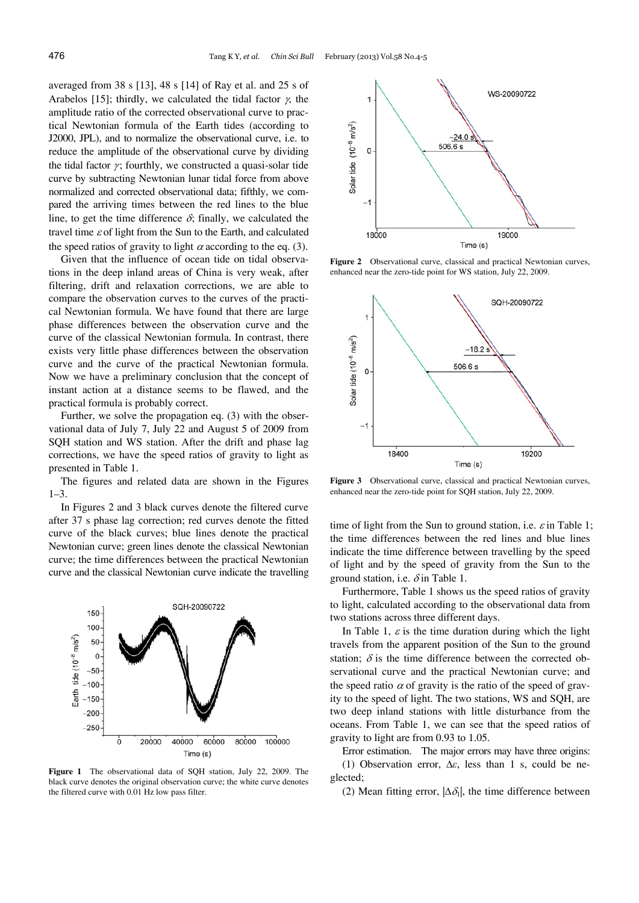averaged from 38 s [13], 48 s [14] of Ray et al. and 25 s of Arabelos [15]; thirdly, we calculated the tidal factor  $\chi$ , the amplitude ratio of the corrected observational curve to practical Newtonian formula of the Earth tides (according to J2000, JPL), and to normalize the observational curve, i.e. to reduce the amplitude of the observational curve by dividing the tidal factor  $\gamma$ ; fourthly, we constructed a quasi-solar tide curve by subtracting Newtonian lunar tidal force from above normalized and corrected observational data; fifthly, we compared the arriving times between the red lines to the blue line, to get the time difference  $\delta$ ; finally, we calculated the travel time  $\varepsilon$  of light from the Sun to the Earth, and calculated the speed ratios of gravity to light  $\alpha$  according to the eq. (3).

Given that the influence of ocean tide on tidal observations in the deep inland areas of China is very weak, after filtering, drift and relaxation corrections, we are able to compare the observation curves to the curves of the practical Newtonian formula. We have found that there are large phase differences between the observation curve and the curve of the classical Newtonian formula. In contrast, there exists very little phase differences between the observation curve and the curve of the practical Newtonian formula. Now we have a preliminary conclusion that the concept of instant action at a distance seems to be flawed, and the practical formula is probably correct.

Further, we solve the propagation eq. (3) with the observational data of July 7, July 22 and August 5 of 2009 from SQH station and WS station. After the drift and phase lag corrections, we have the speed ratios of gravity to light as presented in Table 1.

The figures and related data are shown in the Figures  $1 - 3$ .

In Figures 2 and 3 black curves denote the filtered curve after 37 s phase lag correction; red curves denote the fitted curve of the black curves; blue lines denote the practical Newtonian curve; green lines denote the classical Newtonian curve; the time differences between the practical Newtonian curve and the classical Newtonian curve indicate the travelling



**Figure 1** The observational data of SQH station, July 22, 2009. The black curve denotes the original observation curve; the white curve denotes the filtered curve with 0.01 Hz low pass filter.



**Figure 2** Observational curve, classical and practical Newtonian curves, enhanced near the zero-tide point for WS station, July 22, 2009.



**Figure 3** Observational curve, classical and practical Newtonian curves, enhanced near the zero-tide point for SQH station, July 22, 2009.

time of light from the Sun to ground station, i.e.  $\varepsilon$  in Table 1; the time differences between the red lines and blue lines indicate the time difference between travelling by the speed of light and by the speed of gravity from the Sun to the ground station, i.e.  $\delta$  in Table 1.

Furthermore, Table 1 shows us the speed ratios of gravity to light, calculated according to the observational data from two stations across three different days.

In Table 1,  $\varepsilon$  is the time duration during which the light travels from the apparent position of the Sun to the ground station;  $\delta$  is the time difference between the corrected observational curve and the practical Newtonian curve; and the speed ratio  $\alpha$  of gravity is the ratio of the speed of gravity to the speed of light. The two stations, WS and SQH, are two deep inland stations with little disturbance from the oceans. From Table 1, we can see that the speed ratios of gravity to light are from 0.93 to 1.05.

Error estimation. The major errors may have three origins: (1) Observation error,  $\Delta \varepsilon$ , less than 1 s, could be neglected;

(2) Mean fitting error,  $|\Delta \delta_i|$ , the time difference between